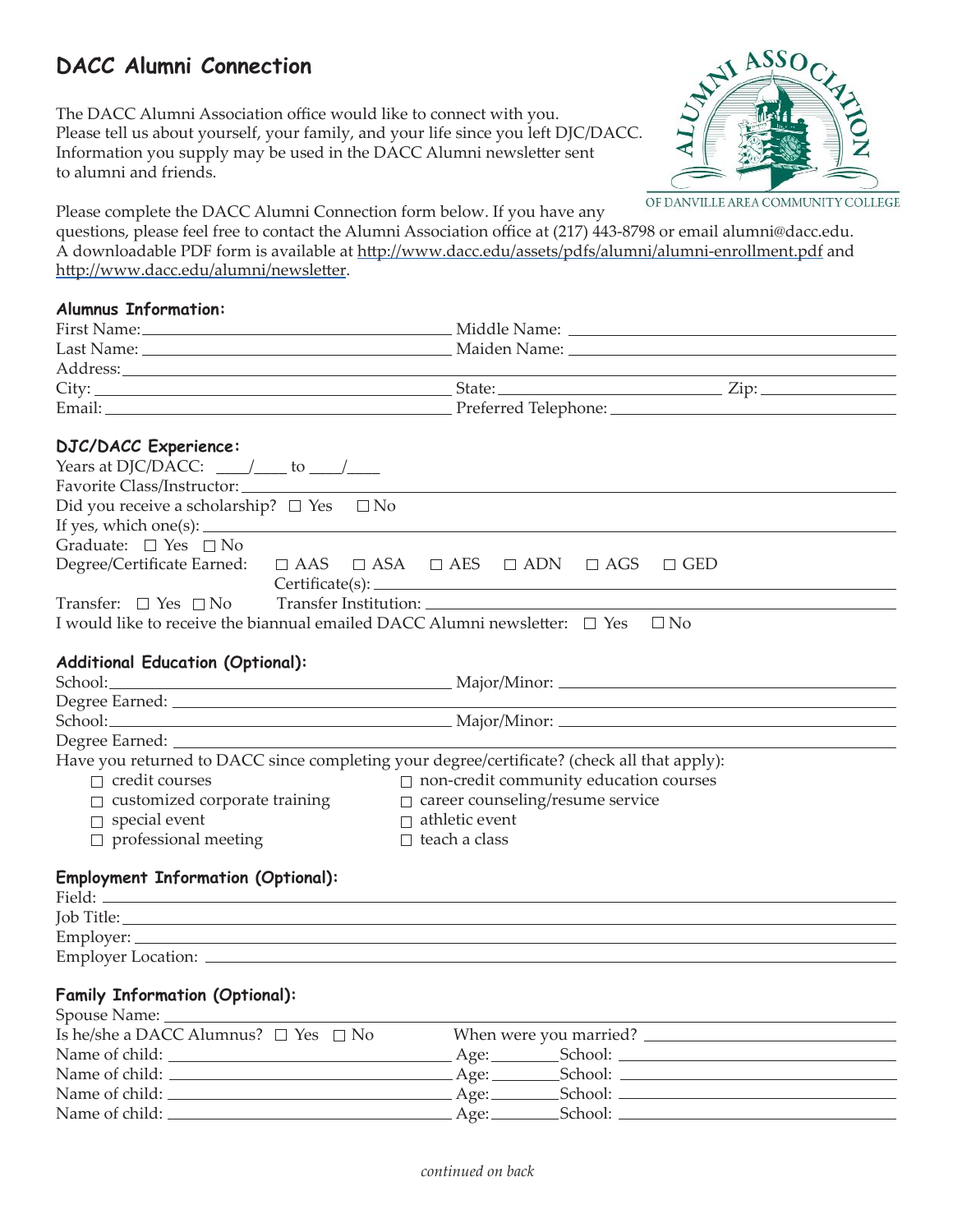### **DACC Alumni Connection**

The DACC Alumni Association office would like to connect with you. Please tell us about yourself, your family, and your life since you left DJC/DACC. Information you supply may be used in the DACC Alumni newsletter sent to alumni and friends.



Please complete the DACC Alumni Connection form below. If you have any

questions, please feel free to contact the Alumni Association office at (217) 443-8798 or email alumni@dacc.edu. A downloadable PDF form is available at http://www.dacc.edu/assets/pdfs/alumni/alumni-enrollment.pdf and http://www.dacc.edu/alumni/newsletter.

#### **Alumnus Information:**

|                                                                                             |  |                                                        | <u> 1989 - Johann Stoff, deutscher Stoff, der Stoff, der Stoff, der Stoff, der Stoff, der Stoff, der Stoff, der S</u> |  |
|---------------------------------------------------------------------------------------------|--|--------------------------------------------------------|-----------------------------------------------------------------------------------------------------------------------|--|
|                                                                                             |  |                                                        |                                                                                                                       |  |
|                                                                                             |  |                                                        |                                                                                                                       |  |
|                                                                                             |  |                                                        |                                                                                                                       |  |
| <b>DJC/DACC Experience:</b>                                                                 |  |                                                        |                                                                                                                       |  |
| Years at DJC/DACC: $\_\_\_\_\_\_\_\_\$ to $\_\_\_\_\_\_\_\_\_\_\$                           |  |                                                        |                                                                                                                       |  |
| Favorite Class/Instructor:                                                                  |  |                                                        |                                                                                                                       |  |
| Did you receive a scholarship? $\square$ Yes $\square$ No                                   |  |                                                        |                                                                                                                       |  |
| If yes, which one(s): $\_\_\_\_\_\_\_\_\_\_\_\_\_\_\_\_\_\_\_\_\_\_\_\_\_\_\_\_\_\_$        |  |                                                        |                                                                                                                       |  |
| Graduate: $\Box$ Yes $\Box$ No                                                              |  |                                                        |                                                                                                                       |  |
| Degree/Certificate Earned:                                                                  |  | $\Box$ AAS $\Box$ ASA $\Box$ AES $\Box$ ADN $\Box$ AGS | $\Box$ GED                                                                                                            |  |
|                                                                                             |  |                                                        |                                                                                                                       |  |
| Transfer: $\Box$ Yes $\Box$ No                                                              |  |                                                        |                                                                                                                       |  |
| I would like to receive the biannual emailed DACC Alumni newsletter: $\Box$ Yes $\Box$ No   |  |                                                        |                                                                                                                       |  |
|                                                                                             |  |                                                        |                                                                                                                       |  |
| <b>Additional Education (Optional):</b>                                                     |  |                                                        |                                                                                                                       |  |
|                                                                                             |  |                                                        |                                                                                                                       |  |
|                                                                                             |  |                                                        |                                                                                                                       |  |
|                                                                                             |  |                                                        |                                                                                                                       |  |
|                                                                                             |  |                                                        |                                                                                                                       |  |
| Have you returned to DACC since completing your degree/certificate? (check all that apply): |  |                                                        |                                                                                                                       |  |
| $\Box$ credit courses                                                                       |  | $\Box$ non-credit community education courses          |                                                                                                                       |  |
| $\Box$ customized corporate training                                                        |  | $\Box$ career counseling/resume service                |                                                                                                                       |  |
| $\Box$ special event                                                                        |  | $\Box$ athletic event                                  |                                                                                                                       |  |
| $\Box$ professional meeting                                                                 |  | $\Box$ teach a class                                   |                                                                                                                       |  |
|                                                                                             |  |                                                        |                                                                                                                       |  |
| <b>Employment Information (Optional):</b>                                                   |  |                                                        |                                                                                                                       |  |
|                                                                                             |  |                                                        |                                                                                                                       |  |
|                                                                                             |  |                                                        |                                                                                                                       |  |
|                                                                                             |  |                                                        |                                                                                                                       |  |
|                                                                                             |  |                                                        |                                                                                                                       |  |
|                                                                                             |  |                                                        |                                                                                                                       |  |
| <b>Family Information (Optional):</b>                                                       |  |                                                        |                                                                                                                       |  |
| Is he/she a DACC Alumnus? $\square$ Yes $\square$ No                                        |  |                                                        |                                                                                                                       |  |
|                                                                                             |  | When were you married?                                 |                                                                                                                       |  |

| Is he/she a DACC Alumnus? $\Box$ Yes $\Box$ No | When were you married? |         |
|------------------------------------------------|------------------------|---------|
| Name of child:                                 | Age:                   | School: |
| Name of child:                                 | Age:                   | School: |
| Name of child:                                 | Age:_                  | School: |
| Name of child:                                 | Age: .                 | School: |